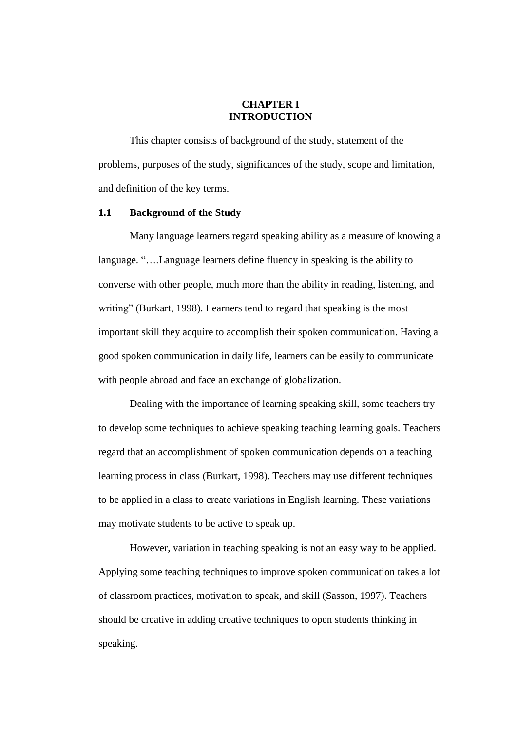### **CHAPTER I INTRODUCTION**

This chapter consists of background of the study, statement of the problems, purposes of the study, significances of the study, scope and limitation, and definition of the key terms.

#### **1.1 Background of the Study**

Many language learners regard speaking ability as a measure of knowing a language. "….Language learners define fluency in speaking is the ability to converse with other people, much more than the ability in reading, listening, and writing" (Burkart, 1998). Learners tend to regard that speaking is the most important skill they acquire to accomplish their spoken communication. Having a good spoken communication in daily life, learners can be easily to communicate with people abroad and face an exchange of globalization.

Dealing with the importance of learning speaking skill, some teachers try to develop some techniques to achieve speaking teaching learning goals. Teachers regard that an accomplishment of spoken communication depends on a teaching learning process in class (Burkart, 1998). Teachers may use different techniques to be applied in a class to create variations in English learning. These variations may motivate students to be active to speak up.

However, variation in teaching speaking is not an easy way to be applied. Applying some teaching techniques to improve spoken communication takes a lot of classroom practices, motivation to speak, and skill (Sasson, 1997). Teachers should be creative in adding creative techniques to open students thinking in speaking.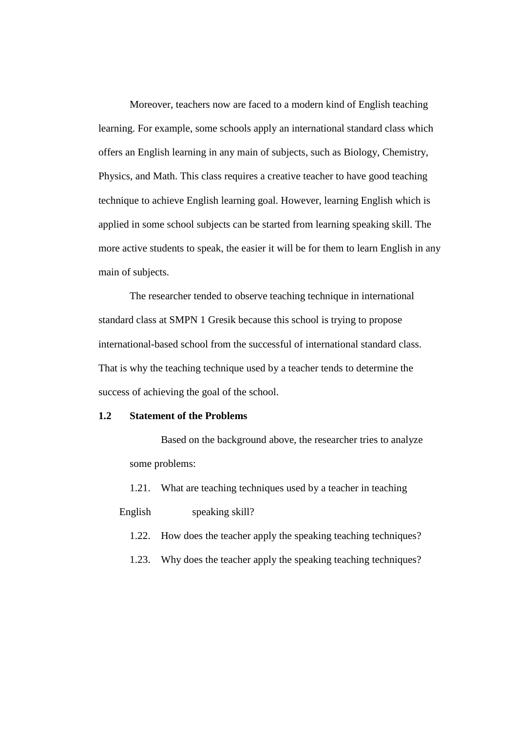Moreover, teachers now are faced to a modern kind of English teaching learning. For example, some schools apply an international standard class which offers an English learning in any main of subjects, such as Biology, Chemistry, Physics, and Math. This class requires a creative teacher to have good teaching technique to achieve English learning goal. However, learning English which is applied in some school subjects can be started from learning speaking skill. The more active students to speak, the easier it will be for them to learn English in any main of subjects.

The researcher tended to observe teaching technique in international standard class at SMPN 1 Gresik because this school is trying to propose international-based school from the successful of international standard class. That is why the teaching technique used by a teacher tends to determine the success of achieving the goal of the school.

## **1.2 Statement of the Problems**

Based on the background above, the researcher tries to analyze some problems:

1.21. What are teaching techniques used by a teacher in teaching

English speaking skill?

1.22. How does the teacher apply the speaking teaching techniques?

1.23. Why does the teacher apply the speaking teaching techniques?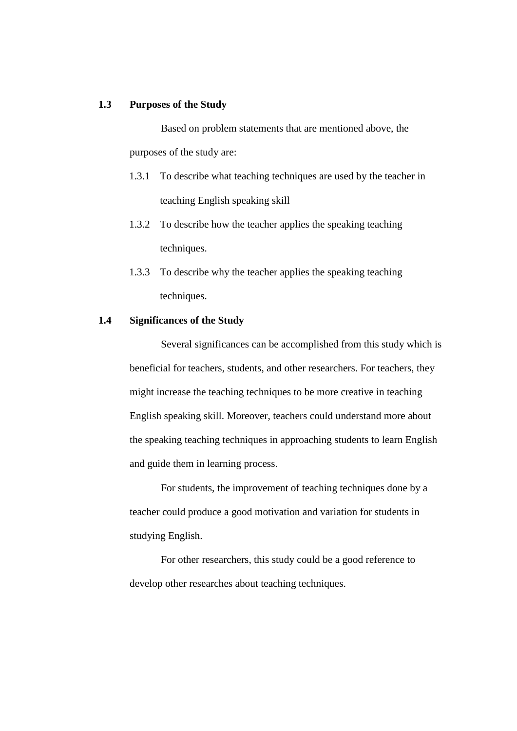### **1.3 Purposes of the Study**

Based on problem statements that are mentioned above, the purposes of the study are:

- 1.3.1 To describe what teaching techniques are used by the teacher in teaching English speaking skill
- 1.3.2 To describe how the teacher applies the speaking teaching techniques.
- 1.3.3 To describe why the teacher applies the speaking teaching techniques.

## **1.4 Significances of the Study**

Several significances can be accomplished from this study which is beneficial for teachers, students, and other researchers. For teachers, they might increase the teaching techniques to be more creative in teaching English speaking skill. Moreover, teachers could understand more about the speaking teaching techniques in approaching students to learn English and guide them in learning process.

For students, the improvement of teaching techniques done by a teacher could produce a good motivation and variation for students in studying English.

For other researchers, this study could be a good reference to develop other researches about teaching techniques.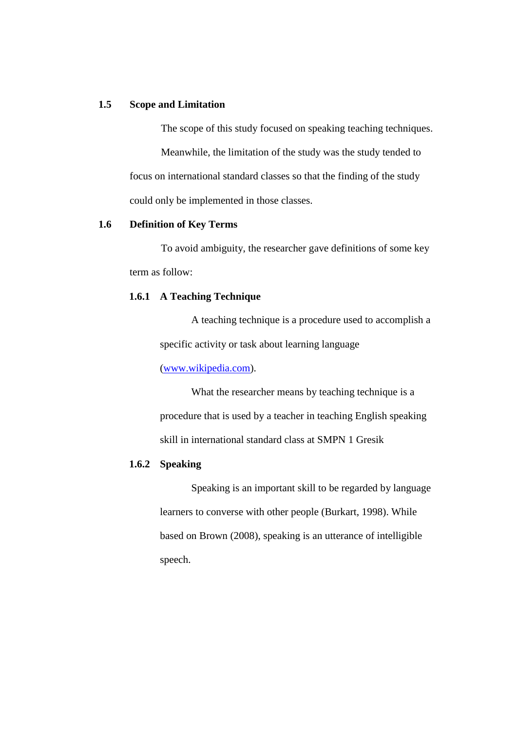# **1.5 Scope and Limitation**

The scope of this study focused on speaking teaching techniques. Meanwhile, the limitation of the study was the study tended to focus on international standard classes so that the finding of the study could only be implemented in those classes.

### **1.6 Definition of Key Terms**

To avoid ambiguity, the researcher gave definitions of some key term as follow:

#### **1.6.1 A Teaching Technique**

A teaching technique is a procedure used to accomplish a specific activity or task about learning language

[\(www.wikipedia.com\)](http://www.wikipedia.com/).

What the researcher means by teaching technique is a procedure that is used by a teacher in teaching English speaking skill in international standard class at SMPN 1 Gresik

## **1.6.2 Speaking**

Speaking is an important skill to be regarded by language learners to converse with other people (Burkart, 1998). While based on Brown (2008), speaking is an utterance of intelligible speech.